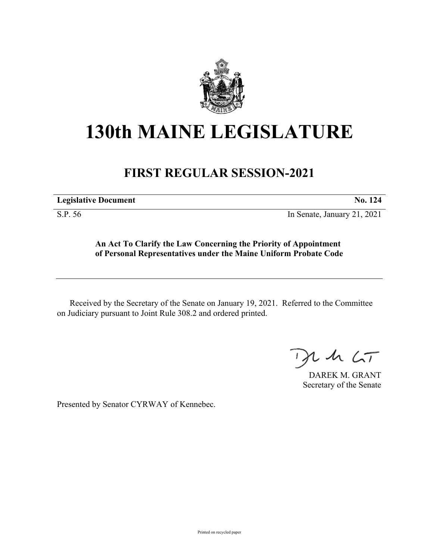

## **130th MAINE LEGISLATURE**

## **FIRST REGULAR SESSION-2021**

**Legislative Document No. 124**

S.P. 56 In Senate, January 21, 2021

**An Act To Clarify the Law Concerning the Priority of Appointment of Personal Representatives under the Maine Uniform Probate Code**

Received by the Secretary of the Senate on January 19, 2021. Referred to the Committee on Judiciary pursuant to Joint Rule 308.2 and ordered printed.

 $125$ 

DAREK M. GRANT Secretary of the Senate

Presented by Senator CYRWAY of Kennebec.